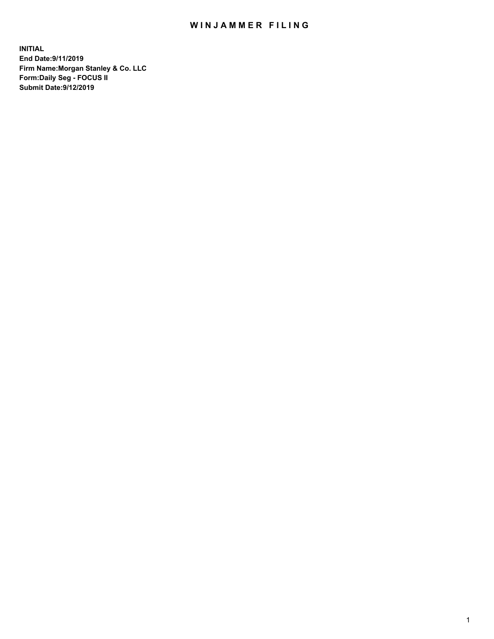## WIN JAMMER FILING

**INITIAL End Date:9/11/2019 Firm Name:Morgan Stanley & Co. LLC Form:Daily Seg - FOCUS II Submit Date:9/12/2019**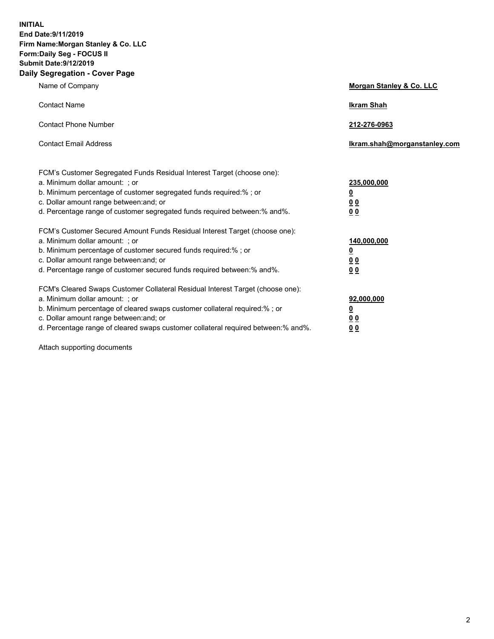**INITIAL End Date:9/11/2019 Firm Name:Morgan Stanley & Co. LLC Form:Daily Seg - FOCUS II Submit Date:9/12/2019 Daily Segregation - Cover Page**

| Name of Company                                                                   | Morgan Stanley & Co. LLC     |
|-----------------------------------------------------------------------------------|------------------------------|
| <b>Contact Name</b>                                                               | <b>Ikram Shah</b>            |
| <b>Contact Phone Number</b>                                                       | 212-276-0963                 |
| <b>Contact Email Address</b>                                                      | Ikram.shah@morganstanley.com |
| FCM's Customer Segregated Funds Residual Interest Target (choose one):            |                              |
| a. Minimum dollar amount: ; or                                                    | 235,000,000                  |
| b. Minimum percentage of customer segregated funds required:% ; or                | <u>0</u>                     |
| c. Dollar amount range between: and; or                                           | <u>0 0</u>                   |
| d. Percentage range of customer segregated funds required between: % and %.       | 0 Q                          |
| FCM's Customer Secured Amount Funds Residual Interest Target (choose one):        |                              |
| a. Minimum dollar amount: ; or                                                    | 140,000,000                  |
| b. Minimum percentage of customer secured funds required:%; or                    | <u>0</u>                     |
| c. Dollar amount range between: and; or                                           | 0 <sub>0</sub>               |
| d. Percentage range of customer secured funds required between:% and%.            | 0 <sub>0</sub>               |
| FCM's Cleared Swaps Customer Collateral Residual Interest Target (choose one):    |                              |
| a. Minimum dollar amount: ; or                                                    | 92,000,000                   |
| b. Minimum percentage of cleared swaps customer collateral required:% ; or        | <u>0</u>                     |
| c. Dollar amount range between: and; or                                           | 0 Q                          |
| d. Percentage range of cleared swaps customer collateral required between:% and%. | 00                           |

Attach supporting documents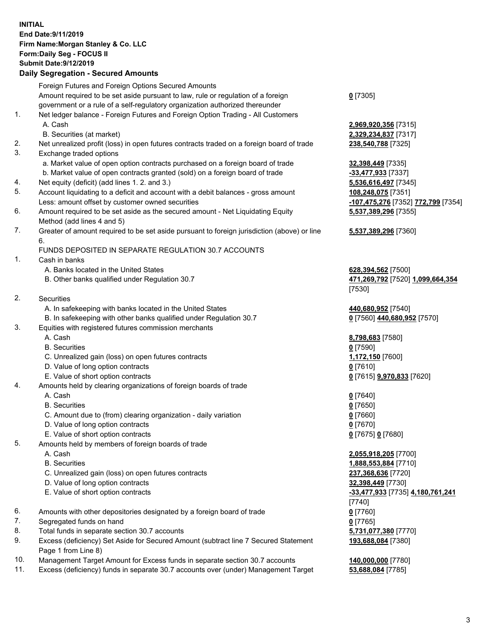## **INITIAL End Date:9/11/2019 Firm Name:Morgan Stanley & Co. LLC Form:Daily Seg - FOCUS II Submit Date:9/12/2019**

## **Daily Segregation - Secured Amounts**

|    | Foreign Futures and Foreign Options Secured Amounts                                         |                                                   |
|----|---------------------------------------------------------------------------------------------|---------------------------------------------------|
|    | Amount required to be set aside pursuant to law, rule or regulation of a foreign            | $0$ [7305]                                        |
| 1. | government or a rule of a self-regulatory organization authorized thereunder                |                                                   |
|    | Net ledger balance - Foreign Futures and Foreign Option Trading - All Customers<br>A. Cash  |                                                   |
|    | B. Securities (at market)                                                                   | 2,969,920,356 [7315]<br>2,329,234,837 [7317]      |
| 2. | Net unrealized profit (loss) in open futures contracts traded on a foreign board of trade   | 238,540,788 [7325]                                |
| 3. | Exchange traded options                                                                     |                                                   |
|    | a. Market value of open option contracts purchased on a foreign board of trade              | 32,398,449 [7335]                                 |
|    | b. Market value of open contracts granted (sold) on a foreign board of trade                | $-33,477,933$ [7337]                              |
| 4. | Net equity (deficit) (add lines 1.2. and 3.)                                                | 5,536,616,497 [7345]                              |
| 5. | Account liquidating to a deficit and account with a debit balances - gross amount           | 108,248,075 [7351]                                |
|    | Less: amount offset by customer owned securities                                            | <mark>-107,475,276</mark> [7352] <sup>-</sup>     |
| 6. | Amount required to be set aside as the secured amount - Net Liquidating Equity              | 5,537,389,296 [7355]                              |
|    | Method (add lines 4 and 5)                                                                  |                                                   |
| 7. | Greater of amount required to be set aside pursuant to foreign jurisdiction (above) or line | 5,537,389,296 [7360]                              |
|    | 6.                                                                                          |                                                   |
|    | FUNDS DEPOSITED IN SEPARATE REGULATION 30.7 ACCOUNTS                                        |                                                   |
| 1. | Cash in banks                                                                               |                                                   |
|    | A. Banks located in the United States                                                       | 628,394,562 [7500]                                |
|    | B. Other banks qualified under Regulation 30.7                                              | 471,269,792 [7520] 1                              |
| 2. | Securities                                                                                  | [7530]                                            |
|    | A. In safekeeping with banks located in the United States                                   | 440,680,952 [7540]                                |
|    | B. In safekeeping with other banks qualified under Regulation 30.7                          | 0 [7560] 440,680,952                              |
| 3. | Equities with registered futures commission merchants                                       |                                                   |
|    | A. Cash                                                                                     | 8,798,683 [7580]                                  |
|    | <b>B.</b> Securities                                                                        | $0$ [7590]                                        |
|    | C. Unrealized gain (loss) on open futures contracts                                         | 1,172,150 [7600]                                  |
|    | D. Value of long option contracts                                                           | $0$ [7610]                                        |
|    | E. Value of short option contracts                                                          | 0 [7615] <b>9,970,833</b> [7                      |
| 4. | Amounts held by clearing organizations of foreign boards of trade                           |                                                   |
|    | A. Cash                                                                                     | $0$ [7640]                                        |
|    | <b>B.</b> Securities                                                                        | $0$ [7650]                                        |
|    | C. Amount due to (from) clearing organization - daily variation                             | $0$ [7660]                                        |
|    | D. Value of long option contracts                                                           | $0$ [7670]                                        |
|    | E. Value of short option contracts                                                          | 0 [7675] 0 [7680]                                 |
| 5. | Amounts held by members of foreign boards of trade                                          |                                                   |
|    | A. Cash                                                                                     | 2,055,918,205 [7700]                              |
|    | <b>B.</b> Securities                                                                        | 1,888,553,884 [7710]                              |
|    | C. Unrealized gain (loss) on open futures contracts<br>D. Value of long option contracts    | 237,368,636 [7720]                                |
|    | E. Value of short option contracts                                                          | 32,398,449 [7730]<br><u>-33,477,933</u> [7735] 4, |
|    |                                                                                             | [7740]                                            |
| 6. | Amounts with other depositories designated by a foreign board of trade                      | $0$ [7760]                                        |
| 7. | Segregated funds on hand                                                                    | $0$ [7765]                                        |
| 8. | Total funds in separate section 30.7 accounts                                               | 5,731,077,380 [7770]                              |
| 9. | Excess (deficiency) Set Aside for Secured Amount (subtract line 7 Secured Statement         | 193,688,084 [7380]                                |
|    | Page 1 from Line 8)                                                                         |                                                   |
|    |                                                                                             |                                                   |

- 10. Management Target Amount for Excess funds in separate section 30.7 accounts **140,000,000** [7780]
- 11. Excess (deficiency) funds in separate 30.7 accounts over (under) Management Target **53,688,084** [7785]

84,837 [7317] 6,497 [7345] Less: amount offset by customer owned securities **-107,475,276** [7352] **772,799** [7354] **5,537,389,296** [7355]

## **5,537,389,296** [7360]

B. Other banks qualified under Regulation 30.7 **471,269,792** [7520] **1,099,664,354**

 $\underline{440,680,952}$  [7570]

E. Value of short option contracts **0** [7615] **9,970,833** [7620]

**8,205** [7700] **3,884** [7710] E. Value of short option contracts **-33,477,933** [7735] **4,180,761,241** 8. Total **7770 084** [7380]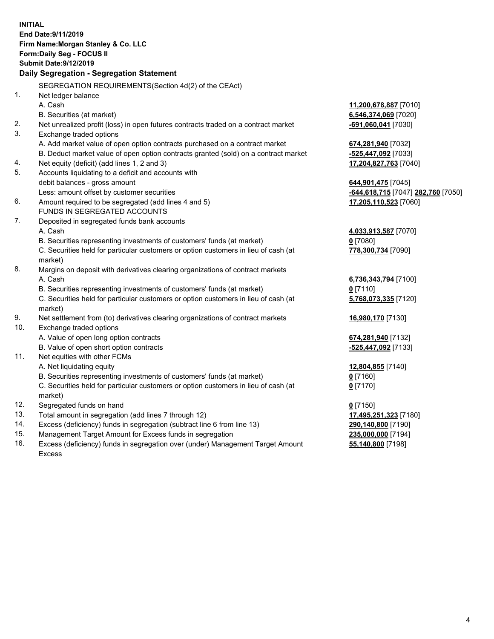**INITIAL End Date:9/11/2019 Firm Name:Morgan Stanley & Co. LLC Form:Daily Seg - FOCUS II Submit Date:9/12/2019 Daily Segregation - Segregation Statement** SEGREGATION REQUIREMENTS(Section 4d(2) of the CEAct) 1. Net ledger balance A. Cash **11,200,678,887** [7010] B. Securities (at market) **6,546,374,069** [7020] 2. Net unrealized profit (loss) in open futures contracts traded on a contract market **-691,060,041** [7030] 3. Exchange traded options A. Add market value of open option contracts purchased on a contract market **674,281,940** [7032] B. Deduct market value of open option contracts granted (sold) on a contract market **-525,447,092** [7033] 4. Net equity (deficit) (add lines 1, 2 and 3) **17,204,827,763** [7040] 5. Accounts liquidating to a deficit and accounts with debit balances - gross amount **644,901,475** [7045] Less: amount offset by customer securities **-644,618,715** [7047] **282,760** [7050] 6. Amount required to be segregated (add lines 4 and 5) **17,205,110,523** [7060] FUNDS IN SEGREGATED ACCOUNTS 7. Deposited in segregated funds bank accounts A. Cash **4,033,913,587** [7070] B. Securities representing investments of customers' funds (at market) **0** [7080] C. Securities held for particular customers or option customers in lieu of cash (at market) **778,300,734** [7090] 8. Margins on deposit with derivatives clearing organizations of contract markets A. Cash **6,736,343,794** [7100] B. Securities representing investments of customers' funds (at market) **0** [7110] C. Securities held for particular customers or option customers in lieu of cash (at market) **5,768,073,335** [7120] 9. Net settlement from (to) derivatives clearing organizations of contract markets **16,980,170** [7130] 10. Exchange traded options A. Value of open long option contracts **674,281,940** [7132] B. Value of open short option contracts **-525,447,092** [7133] 11. Net equities with other FCMs A. Net liquidating equity **12,804,855** [7140] B. Securities representing investments of customers' funds (at market) **0** [7160] C. Securities held for particular customers or option customers in lieu of cash (at market) **0** [7170] 12. Segregated funds on hand **0** [7150] 13. Total amount in segregation (add lines 7 through 12) **17,495,251,323** [7180] 14. Excess (deficiency) funds in segregation (subtract line 6 from line 13) **290,140,800** [7190] 15. Management Target Amount for Excess funds in segregation **235,000,000** [7194] **55,140,800** [7198]

16. Excess (deficiency) funds in segregation over (under) Management Target Amount Excess